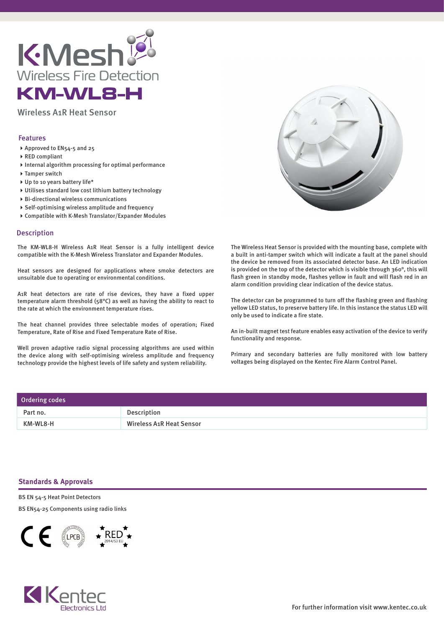

Wireless A1R Heat Sensor

## Features

- ▶ Approved to EN54-5 and 25
- ▶ RED compliant
- $\blacktriangleright$  Internal algorithm processing for optimal performance
- ▶ Tamper switch
- ▶ Up to 10 years battery life\*
- Utilises standard low cost lithium battery technology
- Bi-directional wireless communications
- Self-optimising wireless amplitude and frequency
- Compatible with K-Mesh Translator/Expander Modules

## Description

The KM-WL8-H Wireless A1R Heat Sensor is a fully intelligent device compatible with the K-Mesh Wireless Translator and Expander Modules.

Heat sensors are designed for applications where smoke detectors are unsuitable due to operating or environmental conditions.

A1R heat detectors are rate of rise devices, they have a fixed upper temperature alarm threshold (58°C) as well as having the ability to react to the rate at which the environment temperature rises.

The heat channel provides three selectable modes of operation; Fixed Temperature, Rate of Rise and Fixed Temperature Rate of Rise.

Well proven adaptive radio signal processing algorithms are used within the device along with self-optimising wireless amplitude and frequency technology provide the highest levels of life safety and system reliability.



The Wireless Heat Sensor is provided with the mounting base, complete with a built in anti-tamper switch which will indicate a fault at the panel should the device be removed from its associated detector base. An LED indication is provided on the top of the detector which is visible through 360°, this will flash green in standby mode, flashes yellow in fault and will flash red in an alarm condition providing clear indication of the device status.

The detector can be programmed to turn off the flashing green and flashing yellow LED status, to preserve battery life. In this instance the status LED will only be used to indicate a fire state.

An in-built magnet test feature enables easy activation of the device to verify functionality and response.

Primary and secondary batteries are fully monitored with low battery voltages being displayed on the Kentec Fire Alarm Control Panel.

| Ordering codes |                                 |
|----------------|---------------------------------|
| Part no.       | Description                     |
| KM-WL8-H       | <b>Wireless A1R Heat Sensor</b> |

## **Standards & Approvals**

BS EN 54-5 Heat Point Detectors

BS EN54-25 Components using radio links